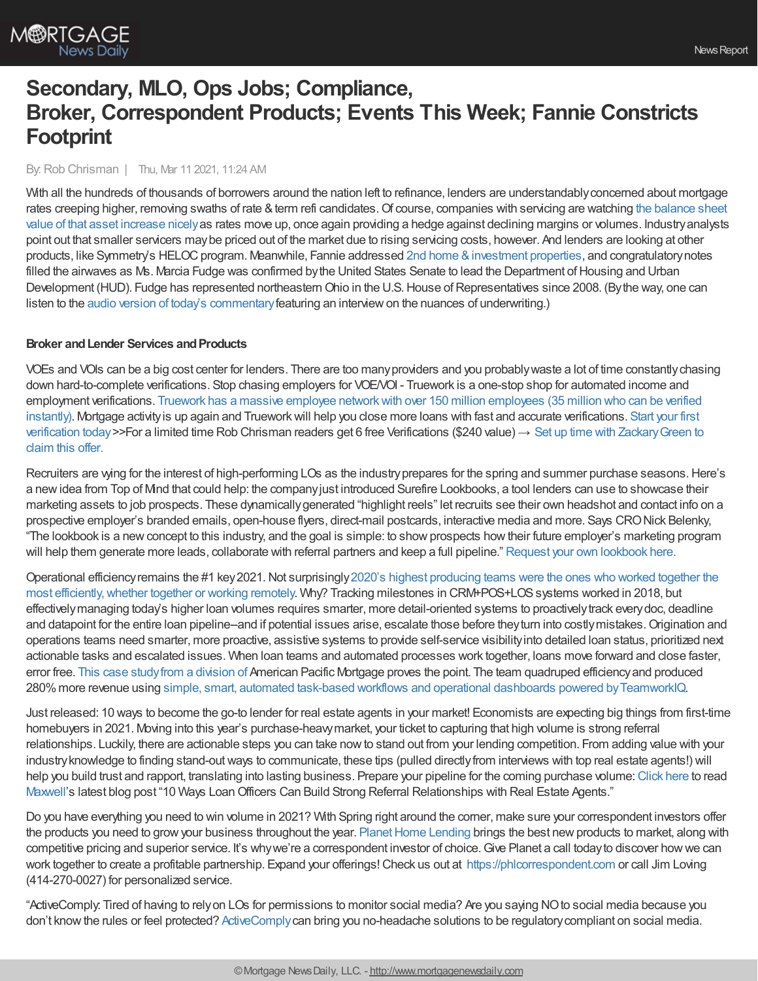

# **Secondary, MLO, Ops Jobs; Compliance, Broker, Correspondent Products; Events This Week; Fannie Constricts Footprint**

#### By:Rob Chrisman | Thu, Mar 11 2021, 11:24 AM

With all the hundreds of thousands of borrowers around the nation left to refinance, lenders are understandably concerned about mortgage rates creeping higher, removing swaths of rate & term refi candidates. Of course, companies with servicing are watching the balance sheet value of that asset increase nicelyas rates move up, once again providing a hedge against declining margins or volumes. [Industryanalysts](https://www.stratmorgroup.com/servicing-a-valuable-asset/) point out that smaller servicers maybe priced out of the market due to rising servicing costs, however. And lenders are looking at other products, like Symmetry's HELOC program. Meanwhile, Fannie addressed 2nd home & investment properties, and congratulatory notes filled the airwaves as Ms. Marcia Fudge was confirmed by the United States Senate to lead the Department of Housing and Urban Development (HUD). Fudge has represented northeastern Ohio in the U.S. House of Representatives since 2008. (By the way, one can listen to the audio version of today's [commentary](https://linktr.ee/dailymortgagenews) featuring an interview on the nuances of underwriting.)

### **Broker** and Lender Services and Products

VOEs and VOIs can be a big cost center for lenders. There are too manyproviders and you probablywaste a lot of time constantlychasing down hard-to-complete verifications. Stop chasing employers for VOE/VOI - Truework is a one-stop shop for automated income and employment verifications. Truework has a massive employee networkwith over 150 million employees (35 million who can be verified instantly). Mortgage activity is up again and Truework will help you close more loans with fast and accurate verifications. Start your first verification today>>For a limited time Rob Chrisman readers get 6 free Verifications (\$240 value) → Set up time with [ZackaryGreen](https://l.linklyhq.com/l/NcFu) to claim this offer.

Recruiters are wing for the interest of high-performing LOs as the industry prepares for the spring and summer purchase seasons. Here's a newidea from Top of Mind that could help: the companyjust introduced Surefire Lookbooks, a tool lenders can use to showcase their marketing assets to job prospects. These dynamicallygenerated "highlight reels" let recruits see their own headshot and contact info on a prospective employer's branded emails, open-house flyers, direct-mail postcards, interactive media and more. Says CRONick Belenky, "The lookbook is a new concept to this industry, and the goal is simple: to show prospects how their future employer's marketing program will help them generate more leads, collaborate with referral partners and keep a full pipeline." Request your own [lookbook](https://www.topofmind.com/look-book-lp1/) here.

Operational efficiencyremains the #1 key2021.Not surprisingly2020's highest producing teams were the ones who worked together the most efficiently, whether together or working remotely. Why? Tracking milestones in CRM+POS+LOS systems worked in 2018, but effectivelymanaging today's higher loan volumes requires smarter, more detail-oriented systems to proactivelytrack everydoc, deadline and datapoint for the entire loan pipeline--and if potential issues arise, escalate those before theyturn into costlymistakes.Origination and operations teams need smarter, more proactive, assistive systems to provide self-service visibilityinto detailed loan status, prioritized next actionable tasks and escalated issues. When loan teams and automated processes work together, loans move forward and close faster, error free. This case [studyfrom](https://teamworkiq.com/american-pacific-mortgage-case-study/?utm_campaign=mortgage&utm_source=robchrisman.com&utm_content=ops-efficiency-key-for-2021) a division of American Pacific Mortgage proves the point. The team quadruped efficiencyand produced 280%more revenue using simple, smart, automated task-based workflows and operational dashboards powered [byTeamworkIQ.](https://teamworkiq.com/american-pacific-mortgage-case-study/?utm_campaign=mortgage&utm_source=robchrisman.com&utm_content=ops-efficiency-key-for-2021)

Just released: 10 ways to become the go-to lender for real estate agents in your market! Economists are expecting big things from first-time homebuyers in 2021. Moving into this year's purchase-heavymarket, your ticket to capturing that high volume is strong referral relationships. Luckily, there are actionable steps you can take nowto stand out from your lending competition. From adding value with your industryknowledge to finding stand-outways to communicate, these tips (pulled directlyfrom interviews with top real estate agents!) will help you build trust and rapport, translating into lasting business. Prepare your pipeline for the coming purchase volume: [Click](https://himaxwell.com/blog/real-estate-agent-networking-for-loan-officers-dos-and-donts-for-savvy-lenders/?utm_source=RC&utm_medium=RC_Content) here to read [Maxwell](https://himaxwell.com/?utm_source=RC&utm_medium=RC_Content)'s latest blog post "10 Ways LoanOfficers Can Build Strong Referral Relationships with Real Estate Agents."

Do you have everything you need to win volume in 2021? With Spring right around the corner, make sure your correspondent investors offer the products you need to grow your business throughout the year. Planet Home Lending brings the best new products to market, along with competitive pricing and superior service. It's why we're a correspondent investor of choice. Give Planet a call today to discover how we can work together to create a profitable partnership. Expand your offerings!Check us out at [https://phlcorrespondent.com](https://phlcorrespondent.com/?utm_source=rob_chrisman&utm_medium=backlink&utm_campaign=Chrisman_2021_03_11_CORR) or call Jim Loving (414-270-0027) for personalized service.

"ActiveComply: Tired of having to relyon LOs for permissions to monitor social media? Are you saying NOto social media because you don't knowthe rules or feel protected? [ActiveComply](https://www.activecomply.com/?utm_campaign=TMConnect%203.16.21%20&utm_source=email&utm_medium=rob%20chrisman%203.11.21&utm_content=TMConnect%203.16.21)can bring you no-headache solutions to be regulatorycompliant on social media.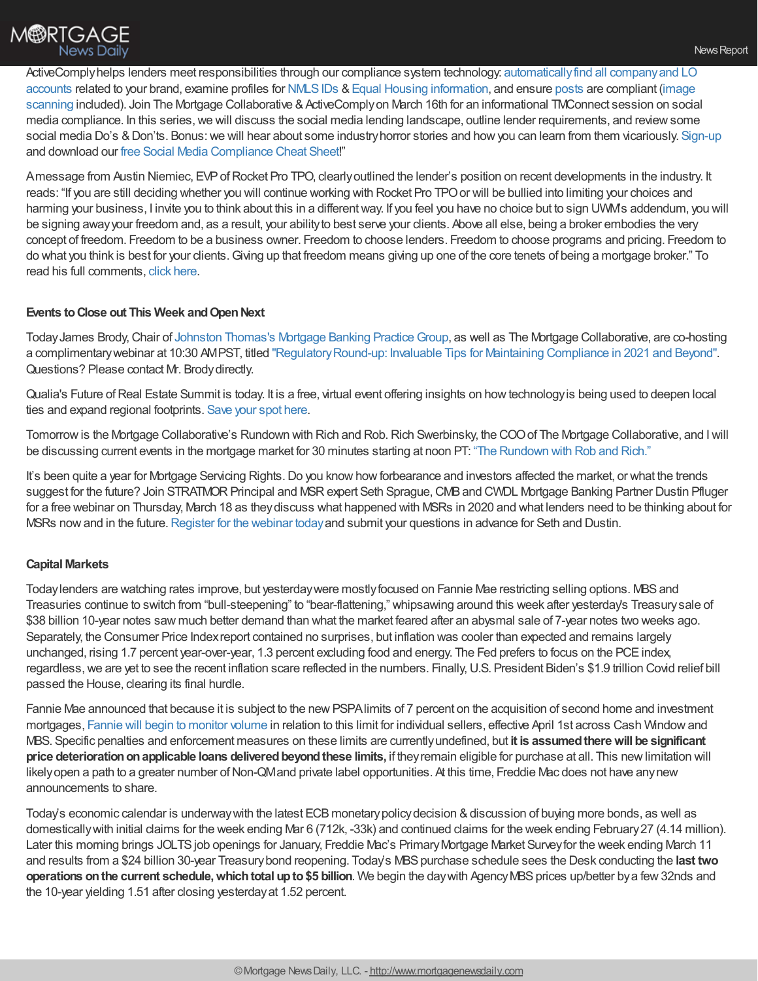[ActiveComplyhelps](https://www.activecomply.com/features/discovery?utm_campaign=TMConnect%203.16.21%20&utm_source=email&utm_medium=rob%20chrisman%203.11.21&utm_content=TMConnect%203.16.21) lenders meet responsibilities through our compliance system technology: automaticallyfind all companyand LO accounts related to your brand, examine profiles for NMLS IDs & Equal Housing [information](https://www.activecomply.com/features/equal-housing-logo-detection?utm_campaign=TMConnect%203.16.21%20&utm_source=email&utm_medium=rob%20chrisman%203.11.21&utm_content=TMConnect%203.16.21), and ensure [posts](https://www.activecomply.com/features/alerts?utm_campaign=TMConnect%203.16.21%20&utm_source=email&utm_medium=rob%20chrisman%203.11.21&utm_content=TMConnect%203.16.21) are compliant (image scanning included). Join The Mortgage Collaborative & ActiveComply on March 16th for an informational TMConnect session on social media compliance. In this series,we will discuss the social media lending landscape, outline lender requirements, and reviewsome social media Do's & Don'ts. Bonus: we will hear about some industry horror stories and how you can learn from them vicariously. [Sign-up](https://mtgcoop.zoom.us/webinar/register/WN_zzJ2LhT3RmWxI8fjKcgwew?utm_campaign=TMConnect%203.16.21%20&utm_source=email&utm_medium=rob%20chrisman%203.11.21&utm_content=TMConnect%203.16.21) and download our free Social Media [Compliance](https://www.activecomply.com/cheat-sheet-download-for-loan-officers?utm_campaign=TMConnect%203.16.21%20&utm_source=email&utm_medium=rob%20chrisman%203.11.21&utm_content=TMConnect%203.16.21) Cheat Sheet!"

Amessage from Austin Niemiec, EVP of Rocket Pro TPO, clearly outlined the lender's position on recent developments in the industry. It reads: "If you are still deciding whether you will continue working with Rocket Pro TPOor will be bullied into limiting your choices and harming your business, I invite you to think about this in a different way. If you feel you have no choice but to sign UWM's addendum, you will be signing awayyour freedom and, as a result, your abilityto best serve your clients. Above all else, being a broker embodies the very concept of freedom. Freedom to be a business owner. Freedom to choose lenders. Freedom to choose programs and pricing. Freedom to do what you think is best for your clients.Giving up that freedom means giving up one of the core tenets of being a mortgage broker." To read his full comments, click [here](https://www.rocketprotpo.com/broker-letter/).

#### **Events to Close out This Week and Open Next**

Today James Brody, Chair of Johnston Thomas's Mortgage Banking Practice Group, as well as The Mortgage Collaborative, are co-hosting a complimentary webinar at 10:30 AMPST, titled "Regulatory Round-up: Invaluable Tips for Maintaining Compliance in 2021 and Beyond". Questions? Please contact Mr. Brodydirectly.

Qualia's Future of Real Estate Summit is today. It is a free, virtual event offering insights on how technology is being used to deepen local ties and expand regional footprints. [Save](https://learn.qualia.com/fores2021) your spot here.

Tomorrow is the Mortgage Collaborative's Rundown with Rich and Rob. Rich Swerbinsky, the COO of The Mortgage Collaborative, and I will be discussing current events in the mortgage market for 30 minutes starting at noon PT: "The [Rundown](https://mtgcoop.zoom.us/webinar/register/WN_hOUDEqURT9m3mhKCJWRM-A) with Rob and Rich."

It's been quite a year for Mortgage Servicing Rights. Do you know how forbearance and investors affected the market, or what the trends suggest for the future? Join STRATMOR Principal and MSR expert Seth Sprague, CMB and CWDL Mortgage Banking Partner Dustin Pfluger for a free webinar on Thursday, March 18 as theydiscuss what happened with MSRs in 2020 and what lenders need to be thinking about for MSRs now and in the future. [Register](https://zoom.us/webinar/register/7516100359179/WN_akp9XI5DQX-bIJHoFRUWVw) for the webinar today and submit your questions in advance for Seth and Dustin.

#### **Capital Markets**

Today lenders are watching rates improve, but yesterday were mostly focused on Fannie Mae restricting selling options. MBS and Treasuries continue to switch from "bull-steepening" to "bear-flattening," whipsawing around this week after yesterday's Treasurysale of \$38 billion 10-year notes saw much better demand than what the market feared after an abysmal sale of 7-year notes two weeks ago. Separately, the Consumer Price Indexreport contained no surprises, but inflation was cooler than expected and remains largely unchanged, rising 1.7 percent year-over-year, 1.3 percent excluding food and energy. The Fed prefers to focus on the PCE index, regardless,we are yet to see the recent inflation scare reflected in the numbers. Finally,U.S. President Biden's \$1.9 trillion Covid relief bill passed the House, clearing its final hurdle.

Fannie Mae announced that because it is subject to the new PSPA limits of 7 percent on the acquisition of second home and investment mortgages, Fannie will begin to [monitor](https://singlefamily.fanniemae.com/media/25286/display) volume in relation to this limit for individual sellers, effective April 1st across Cash Windowand MBS. Specific penalties and enforcement measures on these limits are currentlyundefined, but **it is assumedtherewill be significant price deteriorationonapplicable loans deliveredbeyondthese limits,** if theyremain eligible for purchase at all. This newlimitation will likely open a path to a greater number of Non-QMand private label opportunities. At this time, Freddie Mac does not have any new announcements to share.

Today's economic calendar is underway with the latest ECB monetary policy decision & discussion of buying more bonds, as well as domesticallywith initial claims for the week ending Mar 6 (712k, -33k) and continued claims for the week ending February27 (4.14 million). Later this morning brings JOLTSjob openings for January, Freddie Mac's PrimaryMortgage Market Surveyfor the week ending March 11 and results from a \$24 billion 30-year Treasury bond reopening. Today's MBS purchase schedule sees the Desk conducting the last two **operations on the current schedule, which total up to \$5 billion. We begin the day with Agency MBS prices up/better by a few 32nds and** the 10-year yielding 1.51 after closing yesterdayat 1.52 percent.